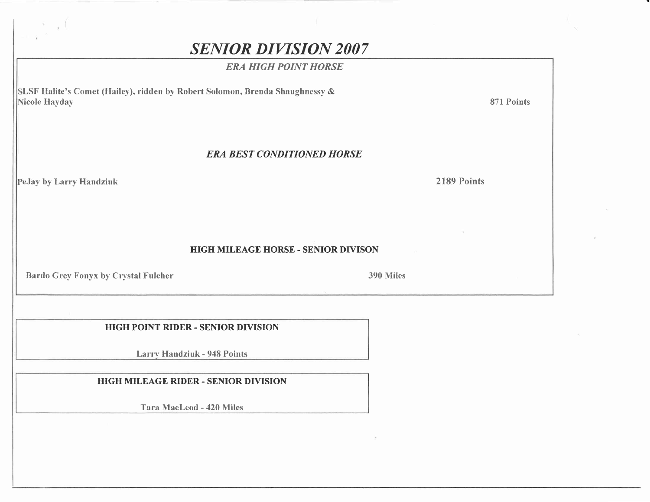# **SENIOR DIVISION 2007**

#### **ERA HIGH POINT HORSE**

SLSF Halite's Comet (Hailey), ridden by Robert Solomon, Brenda Shaughnessy & Nicole Hayday

871 Points

#### **ERA BEST CONDITIONED HORSE**

PeJay by Larry Handziuk

2189 Points

**HIGH MILEAGE HORSE - SENIOR DIVISON** 

**Bardo Grey Fonyx by Crystal Fulcher** 

390 Miles

**HIGH POINT RIDER - SENIOR DIVISION** 

**Larry Handziuk - 948 Points** 

**HIGH MILEAGE RIDER - SENIOR DIVISION** 

Tara MacLeod - 420 Miles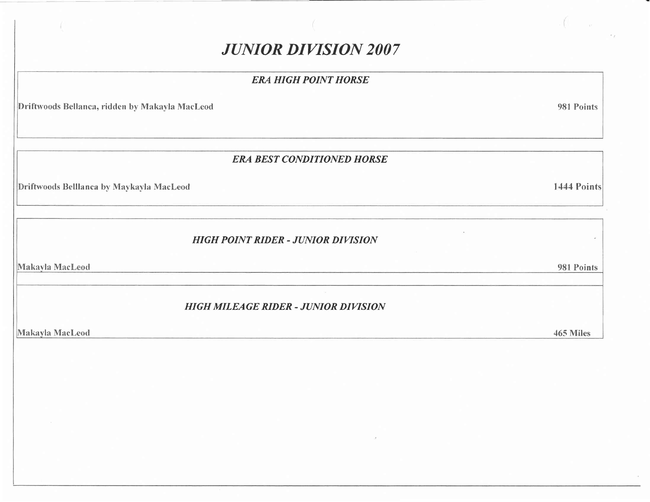# **JUNIOR DIVISION 2007**

#### **ERA HIGH POINT HORSE**

Driftwoods Bellanca, ridden by Makayla MacLeod

**ERA BEST CONDITIONED HORSE** 

<u> 1980 - Jan Alexandria (h. 1980).</u>

Driftwoods Belllanca by Maykayla MacLeod

**HIGH POINT RIDER - JUNIOR DIVISION** 

Makayla MacLeod

**HIGH MILEAGE RIDER - JUNIOR DIVISION** 

Makayla MacLeod

1444 Points

ý.

981 Points

465 Miles

981 Points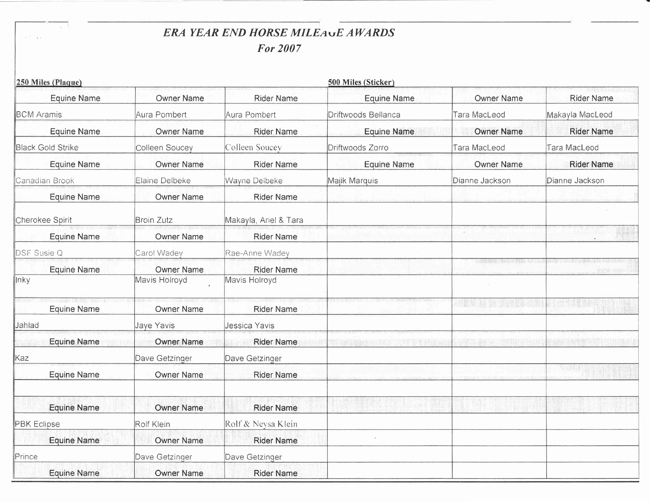## ERA YEAR END HORSE MILEAUE AWARDS **For 2007**

|                    | 250 Miles (Plaque)       |                   |                       | 500 Miles (Sticker) |                   |                                                         |
|--------------------|--------------------------|-------------------|-----------------------|---------------------|-------------------|---------------------------------------------------------|
|                    | Equine Name              | <b>Owner Name</b> | <b>Rider Name</b>     | <b>Equine Name</b>  | <b>Owner Name</b> | <b>Rider Name</b>                                       |
| <b>BCM</b> Aramis  |                          | Aura Pombert      | Aura Pombert          | Driftwoods Bellanca | Tara MacLeod      | Makayla MacLeod                                         |
|                    | <b>Equine Name</b>       | <b>Owner Name</b> | <b>Rider Name</b>     | <b>Equine Name</b>  | <b>Owner Name</b> | <b>Rider Name</b>                                       |
|                    | <b>Black Gold Strike</b> | Colleen Soucey    | Colleen Soucey        | Driftwoods Zorro    | Tara MacLeod      | Tara MacLeod                                            |
|                    | <b>Equine Name</b>       | <b>Owner Name</b> | <b>Rider Name</b>     | Equine Name         | <b>Owner Name</b> | Rider Name                                              |
|                    | Canadian Brook           | Elaine Delbeke    | Wayne Delbeke         | Majik Marquis       | Dianne Jackson    | Dianne Jackson                                          |
|                    | <b>Equine Name</b>       | <b>Owner Name</b> | <b>Rider Name</b>     |                     |                   |                                                         |
|                    | Cherokee Spirit          | <b>Broin Zutz</b> | Makayla, Ariel & Tara |                     |                   |                                                         |
|                    | <b>Equine Name</b>       | <b>Owner Name</b> | <b>Rider Name</b>     |                     |                   |                                                         |
| DSF Susie Q        |                          | Carol Wadey       | Rae-Anne Wadey        |                     |                   |                                                         |
|                    | <b>Equine Name</b>       | Owner Name        | <b>Rider Name</b>     |                     |                   |                                                         |
| lnky               |                          | Mavis Holroyd     | Mavis Holroyd         |                     |                   |                                                         |
|                    | Equine Name              | Owner Name        | <b>Rider Name</b>     |                     |                   |                                                         |
| ∥Jahlad            |                          | Jaye Yavis        | Jessica Yavis         |                     |                   |                                                         |
|                    | <b>Equine Name</b>       | <b>Owner Name</b> | <b>Rider Name</b>     |                     |                   |                                                         |
| Kaz                |                          | Dave Getzinger    | Dave Getzinger        |                     |                   |                                                         |
|                    | Equine Name              | <b>Owner Name</b> | <b>Rider Name</b>     |                     |                   | $\mathcal{A}^{\text{in}}$ and $\mathcal{A}^{\text{in}}$ |
|                    | <b>Equine Name</b>       | <b>Owner Name</b> | <b>Rider Name</b>     |                     |                   |                                                         |
| <b>PBK</b> Eclipse |                          | Rolf Klein        | Rolf & Neysa Klein    |                     |                   |                                                         |
|                    | <b>Equine Name</b>       | <b>Owner Name</b> | <b>Rider Name</b>     |                     |                   |                                                         |
| Prince             |                          | Dave Getzinger    | Dave Getzinger        |                     |                   |                                                         |
|                    | <b>Equine Name</b>       | <b>Owner Name</b> | <b>Rider Name</b>     |                     |                   |                                                         |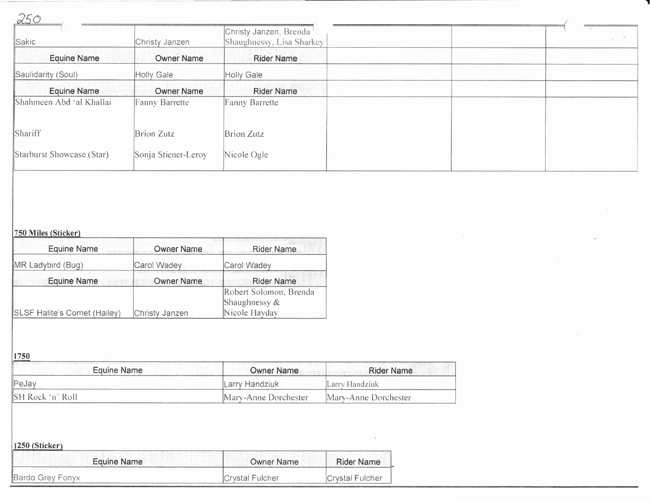| 250                       |                     |                                                     |  |  |
|---------------------------|---------------------|-----------------------------------------------------|--|--|
| Sakic                     | Christy Janzen      | Christy Janzen, Brenda<br>Shaughnessy, Lisa Sharkey |  |  |
| <b>Equine Name</b>        | <b>Owner Name</b>   | <b>Rider Name</b>                                   |  |  |
| Saulidarity (Soul)        | Holly Gale          | Holly Gale                                          |  |  |
| <b>Equine Name</b>        | <b>Owner Name</b>   | <b>Rider Name</b>                                   |  |  |
| Shahmeen Abd 'al Khallai  | Fanny Barrette      | Fanny Barrette                                      |  |  |
| Shariff                   | Brion Zutz          | <b>Brion Zutz</b>                                   |  |  |
| Starburst Showcase (Star) | Sonja Stiener-Leroy | Nicole Ogle                                         |  |  |
|                           |                     |                                                     |  |  |

 $\mathcal{S}_{\mathcal{X}}$ 

#### 750 Miles (Sticker)

| <b>Equine Name</b>           | <b>Owner Name</b> | <b>Contracts of the contracts of the Contracts of the Contracts of the Contracts of the Contracts of the Contracts</b><br>Rider Name |
|------------------------------|-------------------|--------------------------------------------------------------------------------------------------------------------------------------|
| MR Ladybird (Bug)            | Carol Wadey       | Carol Wadey                                                                                                                          |
| <b>Equine Name</b>           | <b>Owner Name</b> | <b>Rider Name</b>                                                                                                                    |
|                              |                   | Robert Solomon, Brenda<br>Shaughnessy $\&$                                                                                           |
| SLSF Halite's Comet (Hailey) | Christy Janzen    | Nicole Hayday                                                                                                                        |

 $1750$ 

| Equine Name        | Owner Name           | <b>Rider Name</b>    |
|--------------------|----------------------|----------------------|
| $ Pe$ Jay          | lLarry Handziuk      | lLarry Handziuk.     |
| ∥SH Rock 'n' Roll- | Mary-Anne Dorchester | Mary-Anne Dorchester |

| $ 1250$ (Sticker) |                   |                 |  |  |  |
|-------------------|-------------------|-----------------|--|--|--|
| Equine Name       | <b>Owner Name</b> | Rider Name      |  |  |  |
| Bardo Grey Fonyx  | Crystal Fulcher   | Crystal Fulcher |  |  |  |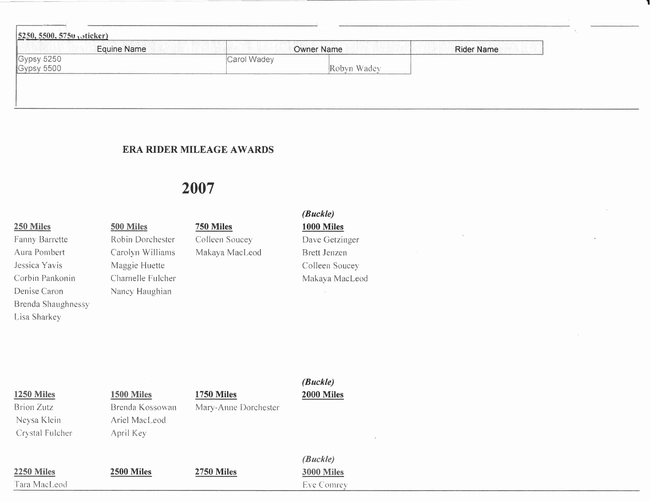| <b>Equine Name</b>       |             | <b>Owner Name</b> | <b>Rider Name</b> |
|--------------------------|-------------|-------------------|-------------------|
| Gypsy 5250<br>Gypsy 5500 | Carol Wadey |                   |                   |
|                          |             | Robyn Wadey       |                   |

#### **ERA RIDER MILEAGE AWARDS**

## 2007

#### 250 Miles

Fanny Barrette Aura Pombert Jessica Yavis Corbin Pankonin Denise Caron **Brenda Shaughnessy** Lisa Sharkey

500 Miles Robin Dorchester Carolyn Williams Maggie Huette Charnelle Fulcher Nancy Haughian

## 750 Miles

Colleen Soucey Makaya MacLeod

### $(Buckle)$ **1000 Miles** Dave Getzinger Brett Jenzen

Colleen Soucey Makaya MacLeod

| <b>1250 Miles</b><br><b>Brion Zutz</b><br>Neysa Klein<br>Crystal Fulcher | 1500 Miles<br>Brenda Kossowan<br>Ariel MacLeod<br>April Key | <b>1750 Miles</b><br>Mary-Anne Dorchester | (Buckle)<br>2000 Miles<br>$\mathcal{F}_\mathrm{c}$ |
|--------------------------------------------------------------------------|-------------------------------------------------------------|-------------------------------------------|----------------------------------------------------|
| 2250 Miles<br>Tara MacLeod                                               | 2500 Miles                                                  | <b>2750 Miles</b>                         | (Buckle)<br><b>3000 Miles</b><br><b>Eve Comrey</b> |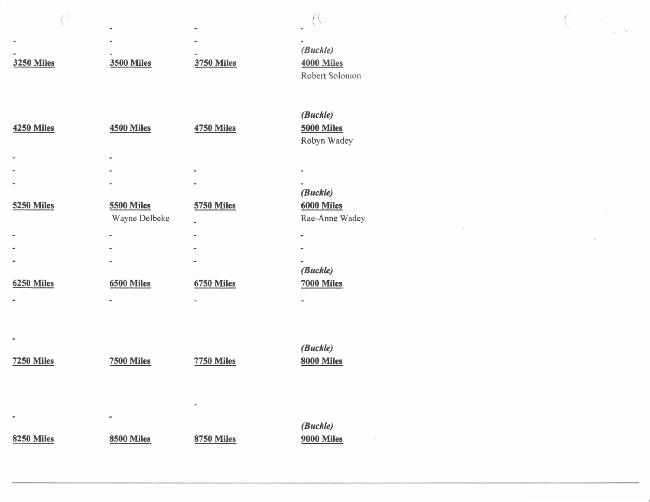|                   |                              |                   | (Buckle)       |
|-------------------|------------------------------|-------------------|----------------|
| <b>3250 Miles</b> | <b>3500 Miles</b>            | <b>3750 Miles</b> | 4000 Miles     |
|                   |                              |                   | Robert Solomon |
|                   |                              |                   |                |
|                   |                              |                   |                |
|                   |                              |                   | (Buckle)       |
| <b>4250 Miles</b> | 4500 Miles                   | <b>4750 Miles</b> | 5000 Miles     |
|                   |                              |                   | Robyn Wadey    |
|                   |                              |                   |                |
|                   |                              |                   |                |
|                   |                              |                   |                |
|                   |                              |                   | (Buckle)       |
| <b>5250 Miles</b> | <b>5500 Miles</b>            | <b>5750 Miles</b> | 6000 Miles     |
|                   | Wayne Delbeke                |                   | Rae-Anne Wadey |
|                   |                              |                   |                |
|                   | $\qquad \qquad \blacksquare$ |                   |                |
|                   |                              |                   |                |
|                   |                              |                   | (Buckle)       |
| <b>6250 Miles</b> | 6500 Miles                   | <b>6750 Miles</b> | 7000 Miles     |
|                   | ÷                            |                   |                |
|                   |                              |                   |                |
|                   |                              |                   |                |
|                   |                              |                   |                |
|                   |                              |                   | (Buckle)       |
| <b>7250 Miles</b> | <b>7500 Miles</b>            | <b>7750 Miles</b> | 8000 Miles     |
|                   |                              |                   |                |
|                   |                              |                   |                |
|                   |                              |                   |                |
|                   | ۰                            |                   |                |
|                   |                              |                   | (Buckle)       |
| <b>8250 Miles</b> | <b>8500 Miles</b>            | <b>8750 Miles</b> | 9000 Miles     |
|                   |                              |                   |                |

 $($ 

 $\hat{\epsilon}$ 

 $\alpha_{\rm{max}}=0.01$  . The  $\alpha_{\rm{max}}=0.01$